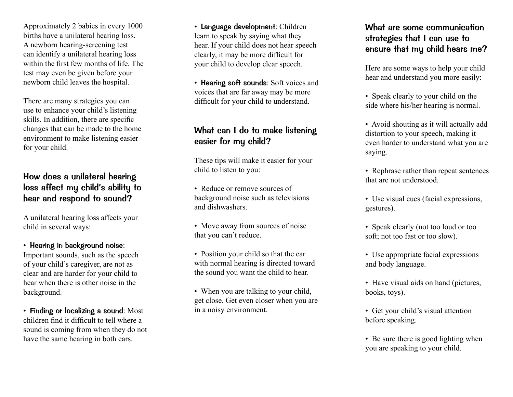Approximately 2 babies in every 1000 births have a unilateral hearing loss. A newborn hearing-screening test can identify a unilateral hearing loss within the first few months of life. The test may even be given before your newborn child leaves the hospital.

There are many strategies you can use to enhance your child's listening skills. In addition, there are specific changes that can be made to the home environment to make listening easier for your child.

#### How does a unilateral hearing loss affect my child's ability to hear and respond to sound?

A unilateral hearing loss affects your child in several ways:

• Hearing in background noise: Important sounds, such as the speech of your child's caregiver, are not as clear and are harder for your child to hear when there is other noise in the background.

• Finding or localizing a sound: Most children find it difficult to tell where a sound is coming from when they do not have the same hearing in both ears.

• Language development: Children learn to speak by saying what they hear. If your child does not hear speech clearly, it may be more difficult for your child to develop clear speech.

• Hearing soft sounds: Soft voices and voices that are far away may be more difficult for your child to understand.

### What can I do to make listening easier for my child?

These tips will make it easier for your child to listen to you:

- Reduce or remove sources of background noise such as televisions and dishwashers.
- Move away from sources of noise that you can't reduce.
- Position your child so that the ear with normal hearing is directed toward the sound you want the child to hear.
- When you are talking to your child, get close. Get even closer when you are in a noisy environment.

# What are some communication strategies that I can use to ensure that my child hears me?

Here are some ways to help your child hear and understand you more easily:

- Speak clearly to your child on the side where his/her hearing is normal.
- Avoid shouting as it will actually add distortion to your speech, making it even harder to understand what you are saying.
- Rephrase rather than repeat sentences that are not understood.
- Use visual cues (facial expressions, gestures).
- Speak clearly (not too loud or too soft; not too fast or too slow).
- Use appropriate facial expressions and body language.
- Have visual aids on hand (pictures, books, toys).
- Get your child's visual attention before speaking.
- Be sure there is good lighting when you are speaking to your child.